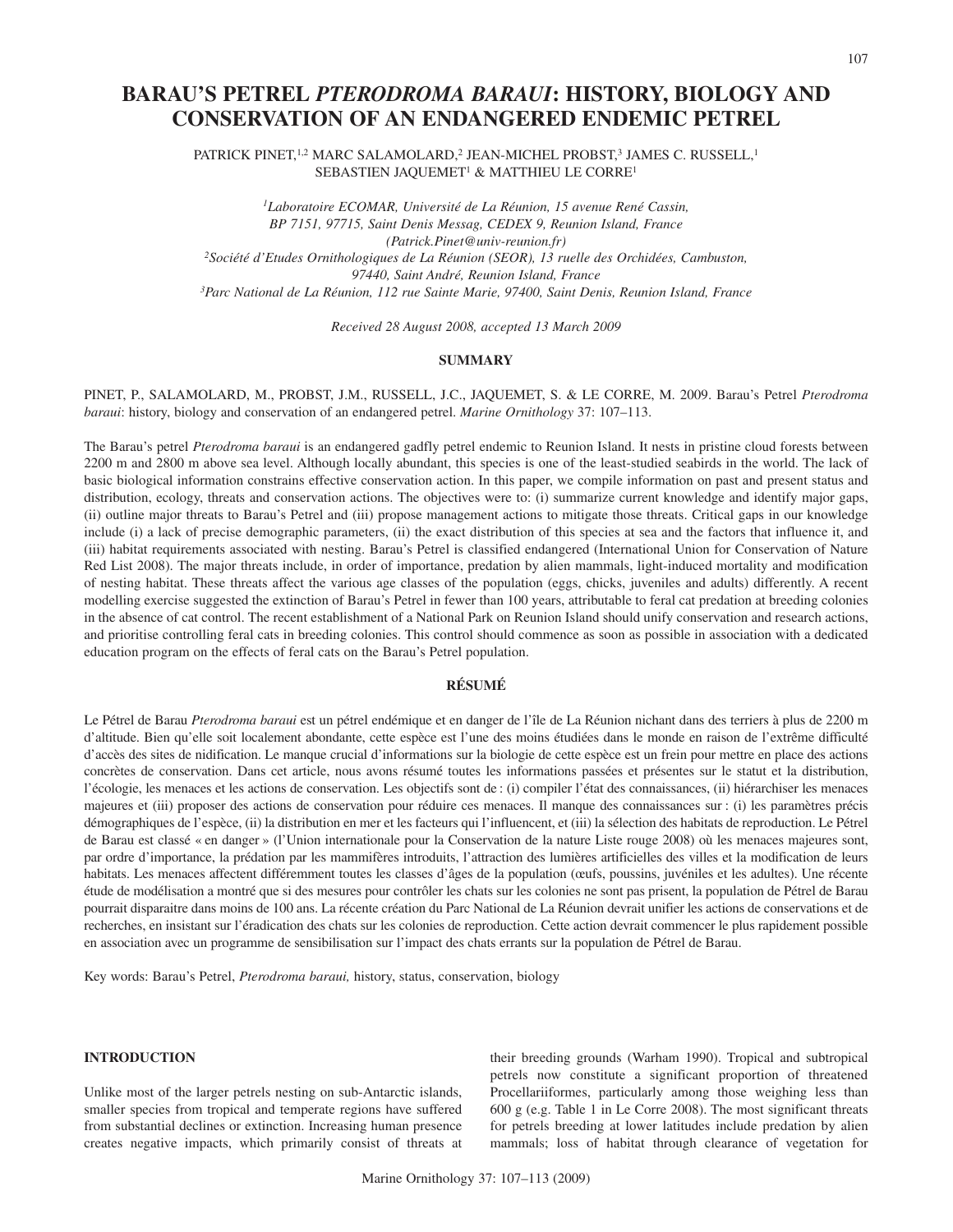# **BARAU'S PETREL** *PTERODROMA BARAUI***: HISTORY, BIOLOGY AND CONSERVATION OF AN ENDANGERED ENDEMIC PETREL**

PATRICK PINET,<sup>1,2</sup> MARC SALAMOLARD,<sup>2</sup> JEAN-MICHEL PROBST,<sup>3</sup> JAMES C. RUSSELL,<sup>1</sup> SEBASTIEN JAQUEMET<sup>1</sup> & MATTHIEU LE CORRE<sup>1</sup>

*1Laboratoire ECOMAR, Université de La Réunion, 15 avenue René Cassin, BP 7151, 97715, Saint Denis Messag, CEDEX 9, Reunion Island, France (Patrick.Pinet@univ-reunion.fr) 2Société d'Etudes Ornithologiques de La Réunion (SEOR), 13 ruelle des Orchidées, Cambuston, 97440, Saint André, Reunion Island, France 3Parc National de La Réunion, 112 rue Sainte Marie, 97400, Saint Denis, Reunion Island, France*

*Received 28 August 2008, accepted 13 March 2009*

## **SUMMARY**

# PINET, P., SALAMOLARD, M., PROBST, J.M., RUSSELL, J.C., JAQUEMET, S. & LE CORRE, M. 2009. Barau's Petrel *Pterodroma baraui*: history, biology and conservation of an endangered petrel. *Marine Ornithology* 37: 107–113.

The Barau's petrel *Pterodroma baraui* is an endangered gadfly petrel endemic to Reunion Island. It nests in pristine cloud forests between 2200 m and 2800 m above sea level. Although locally abundant, this species is one of the least-studied seabirds in the world. The lack of basic biological information constrains effective conservation action. In this paper, we compile information on past and present status and distribution, ecology, threats and conservation actions. The objectives were to: (i) summarize current knowledge and identify major gaps, (ii) outline major threats to Barau's Petrel and (iii) propose management actions to mitigate those threats. Critical gaps in our knowledge include (i) a lack of precise demographic parameters, (ii) the exact distribution of this species at sea and the factors that influence it, and (iii) habitat requirements associated with nesting. Barau's Petrel is classified endangered (International Union for Conservation of Nature Red List 2008). The major threats include, in order of importance, predation by alien mammals, light-induced mortality and modification of nesting habitat. These threats affect the various age classes of the population (eggs, chicks, juveniles and adults) differently. A recent modelling exercise suggested the extinction of Barau's Petrel in fewer than 100 years, attributable to feral cat predation at breeding colonies in the absence of cat control. The recent establishment of a National Park on Reunion Island should unify conservation and research actions, and prioritise controlling feral cats in breeding colonies. This control should commence as soon as possible in association with a dedicated education program on the effects of feral cats on the Barau's Petrel population.

# **RÉSUMÉ**

Le Pétrel de Barau *Pterodroma baraui* est un pétrel endémique et en danger de l'île de La Réunion nichant dans des terriers à plus de 2200 m d'altitude. Bien qu'elle soit localement abondante, cette espèce est l'une des moins étudiées dans le monde en raison de l'extrême difficulté d'accès des sites de nidification. Le manque crucial d'informations sur la biologie de cette espèce est un frein pour mettre en place des actions concrètes de conservation. Dans cet article, nous avons résumé toutes les informations passées et présentes sur le statut et la distribution, l'écologie, les menaces et les actions de conservation. Les objectifs sont de : (i) compiler l'état des connaissances, (ii) hiérarchiser les menaces majeures et (iii) proposer des actions de conservation pour réduire ces menaces. Il manque des connaissances sur : (i) les paramètres précis démographiques de l'espèce, (ii) la distribution en mer et les facteurs qui l'influencent, et (iii) la sélection des habitats de reproduction. Le Pétrel de Barau est classé « en danger » (l'Union internationale pour la Conservation de la nature Liste rouge 2008) où les menaces majeures sont, par ordre d'importance, la prédation par les mammifères introduits, l'attraction des lumières artificielles des villes et la modification de leurs habitats. Les menaces affectent différemment toutes les classes d'âges de la population (œufs, poussins, juvéniles et les adultes). Une récente étude de modélisation a montré que si des mesures pour contrôler les chats sur les colonies ne sont pas prisent, la population de Pétrel de Barau pourrait disparaitre dans moins de 100 ans. La récente création du Parc National de La Réunion devrait unifier les actions de conservations et de recherches, en insistant sur l'éradication des chats sur les colonies de reproduction. Cette action devrait commencer le plus rapidement possible en association avec un programme de sensibilisation sur l'impact des chats errants sur la population de Pétrel de Barau.

Key words: Barau's Petrel, *Pterodroma baraui,* history, status, conservation, biology

## **INTRODUCTION**

Unlike most of the larger petrels nesting on sub-Antarctic islands, smaller species from tropical and temperate regions have suffered from substantial declines or extinction. Increasing human presence creates negative impacts, which primarily consist of threats at their breeding grounds (Warham 1990). Tropical and subtropical petrels now constitute a significant proportion of threatened Procellariiformes, particularly among those weighing less than 600 g (e.g. Table 1 in Le Corre 2008). The most significant threats for petrels breeding at lower latitudes include predation by alien mammals; loss of habitat through clearance of vegetation for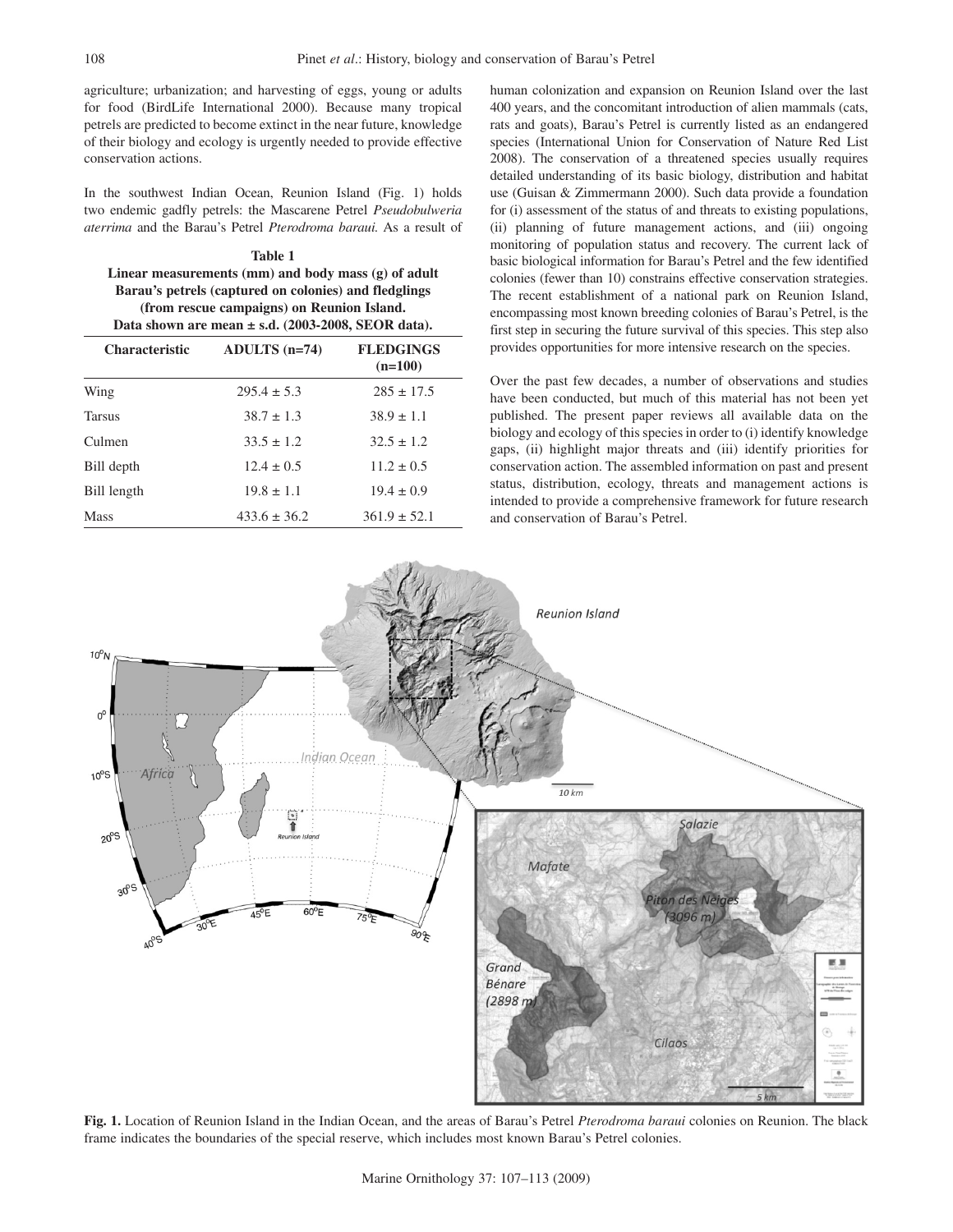agriculture; urbanization; and harvesting of eggs, young or adults for food (BirdLife International 2000). Because many tropical petrels are predicted to become extinct in the near future, knowledge of their biology and ecology is urgently needed to provide effective conservation actions.

In the southwest Indian Ocean, Reunion Island (Fig. 1) holds two endemic gadfly petrels: the Mascarene Petrel *Pseudobulweria aterrima* and the Barau's Petrel *Pterodroma baraui.* As a result of

**Table 1 Linear measurements (mm) and body mass (g) of adult Barau's petrels (captured on colonies) and fledglings (from rescue campaigns) on Reunion Island. Data shown are mean ± s.d. (2003-2008, SEOR data).**

| <b>Characteristic</b> | ADULTS $(n=74)$  | <b>FLEDGINGS</b><br>$(n=100)$ |
|-----------------------|------------------|-------------------------------|
| Wing                  | $295.4 \pm 5.3$  | $285 \pm 17.5$                |
| <b>Tarsus</b>         | $38.7 \pm 1.3$   | $38.9 \pm 1.1$                |
| Culmen                | $33.5 \pm 1.2$   | $32.5 \pm 1.2$                |
| Bill depth            | $12.4 \pm 0.5$   | $11.2 \pm 0.5$                |
| Bill length           | $19.8 \pm 1.1$   | $19.4 \pm 0.9$                |
| Mass                  | $433.6 \pm 36.2$ | $361.9 \pm 52.1$              |

human colonization and expansion on Reunion Island over the last 400 years, and the concomitant introduction of alien mammals (cats, rats and goats), Barau's Petrel is currently listed as an endangered species (International Union for Conservation of Nature Red List 2008). The conservation of a threatened species usually requires detailed understanding of its basic biology, distribution and habitat use (Guisan & Zimmermann 2000). Such data provide a foundation for (i) assessment of the status of and threats to existing populations, (ii) planning of future management actions, and (iii) ongoing monitoring of population status and recovery. The current lack of basic biological information for Barau's Petrel and the few identified colonies (fewer than 10) constrains effective conservation strategies. The recent establishment of a national park on Reunion Island, encompassing most known breeding colonies of Barau's Petrel, is the first step in securing the future survival of this species. This step also provides opportunities for more intensive research on the species.

Over the past few decades, a number of observations and studies have been conducted, but much of this material has not been yet published. The present paper reviews all available data on the biology and ecology of this species in order to (i) identify knowledge gaps, (ii) highlight major threats and (iii) identify priorities for conservation action. The assembled information on past and present status, distribution, ecology, threats and management actions is intended to provide a comprehensive framework for future research and conservation of Barau's Petrel.



**Fig. 1.** Location of Reunion Island in the Indian Ocean, and the areas of Barau's Petrel *Pterodroma baraui* colonies on Reunion. The black frame indicates the boundaries of the special reserve, which includes most known Barau's Petrel colonies.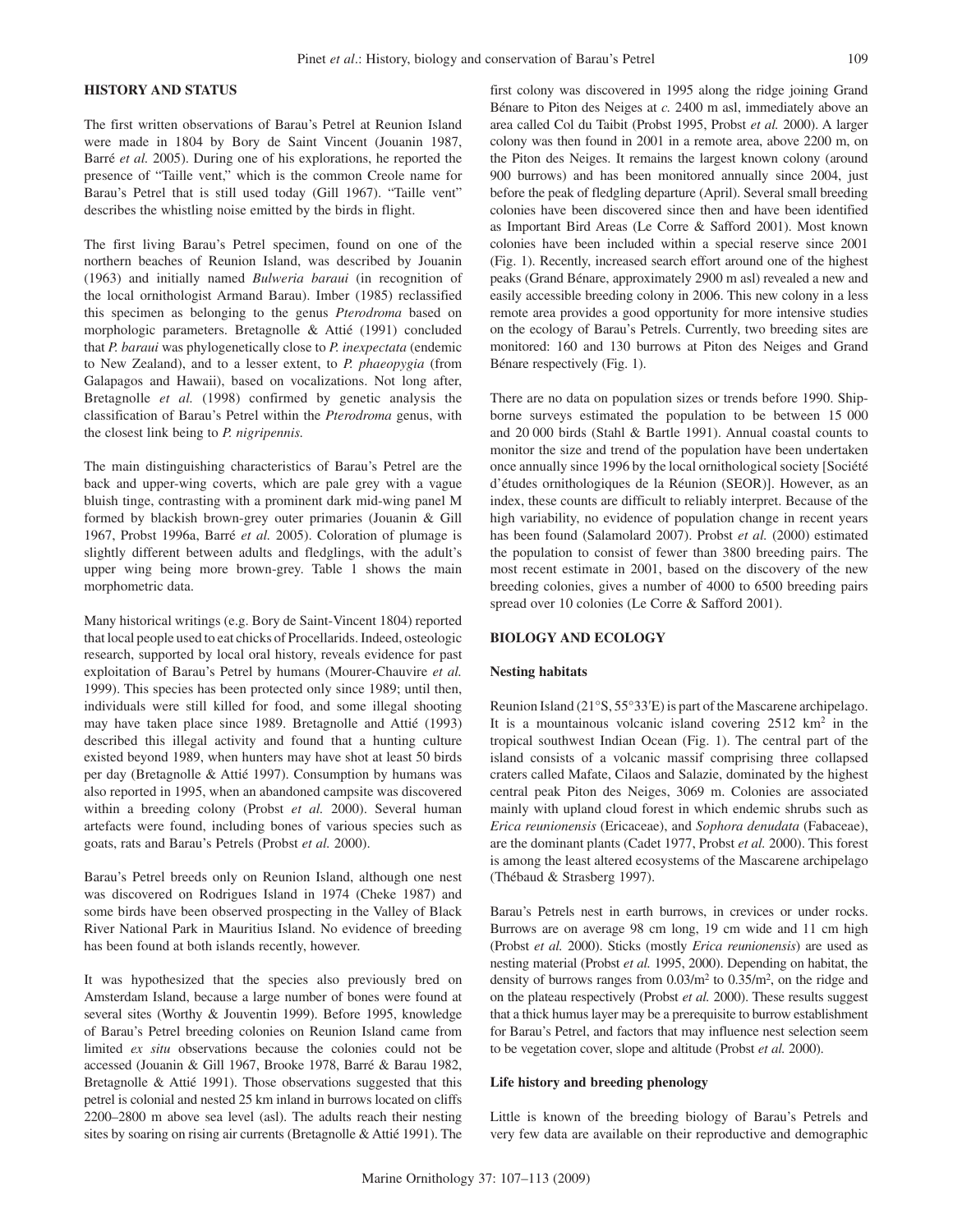## **HISTORY AND STATUS**

The first written observations of Barau's Petrel at Reunion Island were made in 1804 by Bory de Saint Vincent (Jouanin 1987, Barré *et al.* 2005). During one of his explorations, he reported the presence of "Taille vent," which is the common Creole name for Barau's Petrel that is still used today (Gill 1967). "Taille vent" describes the whistling noise emitted by the birds in flight.

The first living Barau's Petrel specimen, found on one of the northern beaches of Reunion Island, was described by Jouanin (1963) and initially named *Bulweria baraui* (in recognition of the local ornithologist Armand Barau). Imber (1985) reclassified this specimen as belonging to the genus *Pterodroma* based on morphologic parameters. Bretagnolle & Attié (1991) concluded that *P. baraui* was phylogenetically close to *P. inexpectata* (endemic to New Zealand), and to a lesser extent, to *P. phaeopygia* (from Galapagos and Hawaii), based on vocalizations. Not long after, Bretagnolle *et al.* (1998) confirmed by genetic analysis the classification of Barau's Petrel within the *Pterodroma* genus, with the closest link being to *P. nigripennis.*

The main distinguishing characteristics of Barau's Petrel are the back and upper-wing coverts, which are pale grey with a vague bluish tinge, contrasting with a prominent dark mid-wing panel M formed by blackish brown-grey outer primaries (Jouanin & Gill 1967, Probst 1996a, Barré *et al.* 2005). Coloration of plumage is slightly different between adults and fledglings, with the adult's upper wing being more brown-grey. Table 1 shows the main morphometric data.

Many historical writings (e.g. Bory de Saint-Vincent 1804) reported that local people used to eat chicks of Procellarids. Indeed, osteologic research, supported by local oral history, reveals evidence for past exploitation of Barau's Petrel by humans (Mourer-Chauvire *et al.* 1999). This species has been protected only since 1989; until then, individuals were still killed for food, and some illegal shooting may have taken place since 1989. Bretagnolle and Attié (1993) described this illegal activity and found that a hunting culture existed beyond 1989, when hunters may have shot at least 50 birds per day (Bretagnolle & Attié 1997). Consumption by humans was also reported in 1995, when an abandoned campsite was discovered within a breeding colony (Probst *et al.* 2000). Several human artefacts were found, including bones of various species such as goats, rats and Barau's Petrels (Probst *et al.* 2000).

Barau's Petrel breeds only on Reunion Island, although one nest was discovered on Rodrigues Island in 1974 (Cheke 1987) and some birds have been observed prospecting in the Valley of Black River National Park in Mauritius Island. No evidence of breeding has been found at both islands recently, however.

It was hypothesized that the species also previously bred on Amsterdam Island, because a large number of bones were found at several sites (Worthy & Jouventin 1999). Before 1995, knowledge of Barau's Petrel breeding colonies on Reunion Island came from limited *ex situ* observations because the colonies could not be accessed (Jouanin & Gill 1967, Brooke 1978, Barré & Barau 1982, Bretagnolle & Attié 1991). Those observations suggested that this petrel is colonial and nested 25 km inland in burrows located on cliffs 2200–2800 m above sea level (asl). The adults reach their nesting sites by soaring on rising air currents (Bretagnolle & Attié 1991). The first colony was discovered in 1995 along the ridge joining Grand Bénare to Piton des Neiges at *c.* 2400 m asl, immediately above an area called Col du Taibit (Probst 1995, Probst *et al.* 2000). A larger colony was then found in 2001 in a remote area, above 2200 m, on the Piton des Neiges. It remains the largest known colony (around 900 burrows) and has been monitored annually since 2004, just before the peak of fledgling departure (April). Several small breeding colonies have been discovered since then and have been identified as Important Bird Areas (Le Corre & Safford 2001). Most known colonies have been included within a special reserve since 2001 (Fig. 1). Recently, increased search effort around one of the highest peaks (Grand Bénare, approximately 2900 m asl) revealed a new and easily accessible breeding colony in 2006. This new colony in a less remote area provides a good opportunity for more intensive studies on the ecology of Barau's Petrels. Currently, two breeding sites are monitored: 160 and 130 burrows at Piton des Neiges and Grand Bénare respectively (Fig. 1).

There are no data on population sizes or trends before 1990. Shipborne surveys estimated the population to be between 15 000 and 20 000 birds (Stahl & Bartle 1991). Annual coastal counts to monitor the size and trend of the population have been undertaken once annually since 1996 by the local ornithological society [Société d'études ornithologiques de la Réunion (SEOR)]. However, as an index, these counts are difficult to reliably interpret. Because of the high variability, no evidence of population change in recent years has been found (Salamolard 2007). Probst *et al.* (2000) estimated the population to consist of fewer than 3800 breeding pairs. The most recent estimate in 2001, based on the discovery of the new breeding colonies, gives a number of 4000 to 6500 breeding pairs spread over 10 colonies (Le Corre & Safford 2001).

# **BIOLOGY AND ECOLOGY**

#### **Nesting habitats**

Reunion Island (21°S, 55°33′E) is part of the Mascarene archipelago. It is a mountainous volcanic island covering  $2512 \text{ km}^2$  in the tropical southwest Indian Ocean (Fig. 1). The central part of the island consists of a volcanic massif comprising three collapsed craters called Mafate, Cilaos and Salazie, dominated by the highest central peak Piton des Neiges, 3069 m. Colonies are associated mainly with upland cloud forest in which endemic shrubs such as *Erica reunionensis* (Ericaceae), and *Sophora denudata* (Fabaceae), are the dominant plants (Cadet 1977, Probst *et al.* 2000). This forest is among the least altered ecosystems of the Mascarene archipelago (Thébaud & Strasberg 1997).

Barau's Petrels nest in earth burrows, in crevices or under rocks. Burrows are on average 98 cm long, 19 cm wide and 11 cm high (Probst *et al.* 2000). Sticks (mostly *Erica reunionensis*) are used as nesting material (Probst *et al.* 1995, 2000). Depending on habitat, the density of burrows ranges from  $0.03/m^2$  to  $0.35/m^2$ , on the ridge and on the plateau respectively (Probst *et al.* 2000). These results suggest that a thick humus layer may be a prerequisite to burrow establishment for Barau's Petrel, and factors that may influence nest selection seem to be vegetation cover, slope and altitude (Probst *et al.* 2000).

#### **Life history and breeding phenology**

Little is known of the breeding biology of Barau's Petrels and very few data are available on their reproductive and demographic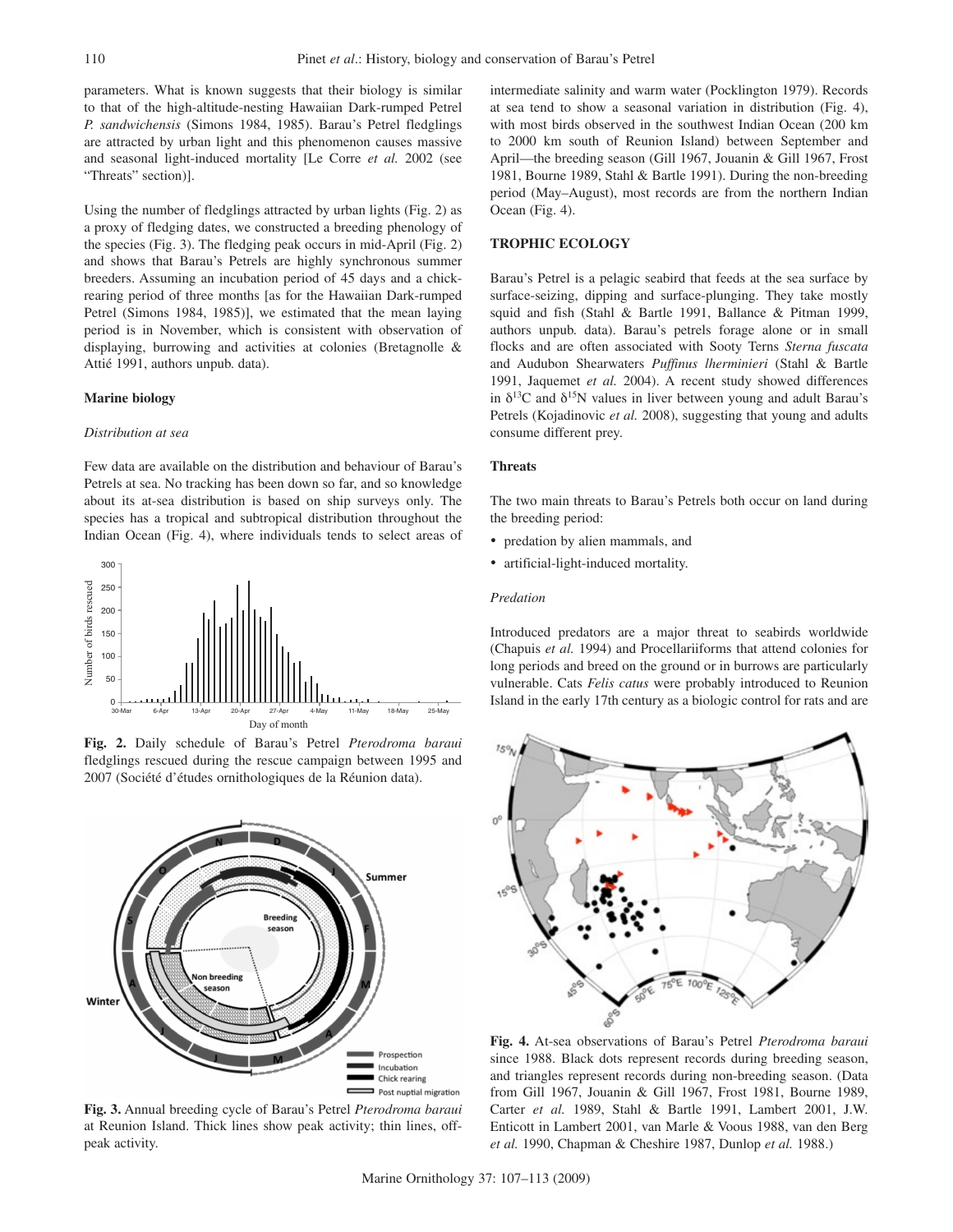parameters. What is known suggests that their biology is similar to that of the high-altitude-nesting Hawaiian Dark-rumped Petrel *P. sandwichensis* (Simons 1984, 1985). Barau's Petrel fledglings are attracted by urban light and this phenomenon causes massive and seasonal light-induced mortality [Le Corre *et al.* 2002 (see "Threats" section)].

Using the number of fledglings attracted by urban lights (Fig. 2) as a proxy of fledging dates, we constructed a breeding phenology of the species (Fig. 3). The fledging peak occurs in mid-April (Fig. 2) and shows that Barau's Petrels are highly synchronous summer breeders. Assuming an incubation period of 45 days and a chickrearing period of three months [as for the Hawaiian Dark-rumped Petrel (Simons 1984, 1985)], we estimated that the mean laying period is in November, which is consistent with observation of displaying, burrowing and activities at colonies (Bretagnolle & Attié 1991, authors unpub. data).

#### **Marine biology**

## *Distribution at sea*

Few data are available on the distribution and behaviour of Barau's Petrels at sea. No tracking has been down so far, and so knowledge about its at-sea distribution is based on ship surveys only. The species has a tropical and subtropical distribution throughout the Indian Ocean (Fig. 4), where individuals tends to select areas of



**Fig. 2.** Daily schedule of Barau's Petrel *Pterodroma baraui*  fledglings rescued during the rescue campaign between 1995 and 2007 (Société d'études ornithologiques de la Réunion data).



**Fig. 3.** Annual breeding cycle of Barau's Petrel *Pterodroma baraui* at Reunion Island. Thick lines show peak activity; thin lines, offpeak activity.

intermediate salinity and warm water (Pocklington 1979). Records at sea tend to show a seasonal variation in distribution (Fig. 4), with most birds observed in the southwest Indian Ocean (200 km to 2000 km south of Reunion Island) between September and April—the breeding season (Gill 1967, Jouanin & Gill 1967, Frost 1981, Bourne 1989, Stahl & Bartle 1991). During the non-breeding period (May–August), most records are from the northern Indian Ocean (Fig. 4).

## **Trophic ecology**

Barau's Petrel is a pelagic seabird that feeds at the sea surface by surface-seizing, dipping and surface-plunging. They take mostly squid and fish (Stahl & Bartle 1991, Ballance & Pitman 1999, authors unpub. data). Barau's petrels forage alone or in small flocks and are often associated with Sooty Terns *Sterna fuscata* and Audubon Shearwaters *Puffinus lherminieri* (Stahl & Bartle 1991, Jaquemet *et al.* 2004). A recent study showed differences in  $\delta^{13}$ C and  $\delta^{15}$ N values in liver between young and adult Barau's Petrels (Kojadinovic *et al.* 2008), suggesting that young and adults consume different prey.

#### **Threats**

The two main threats to Barau's Petrels both occur on land during the breeding period:

- predation by alien mammals, and
- • artificial-light-induced mortality.

#### *Predation*

Introduced predators are a major threat to seabirds worldwide (Chapuis *et al.* 1994) and Procellariiforms that attend colonies for long periods and breed on the ground or in burrows are particularly vulnerable. Cats *Felis catus* were probably introduced to Reunion Island in the early 17th century as a biologic control for rats and are



**Fig. 4.** At-sea observations of Barau's Petrel *Pterodroma baraui*  since 1988. Black dots represent records during breeding season, and triangles represent records during non-breeding season. (Data from Gill 1967, Jouanin & Gill 1967, Frost 1981, Bourne 1989, Carter *et al.* 1989, Stahl & Bartle 1991, Lambert 2001, J.W. Enticott in Lambert 2001, van Marle & Voous 1988, van den Berg *et al.* 1990, Chapman & Cheshire 1987, Dunlop *et al.* 1988.)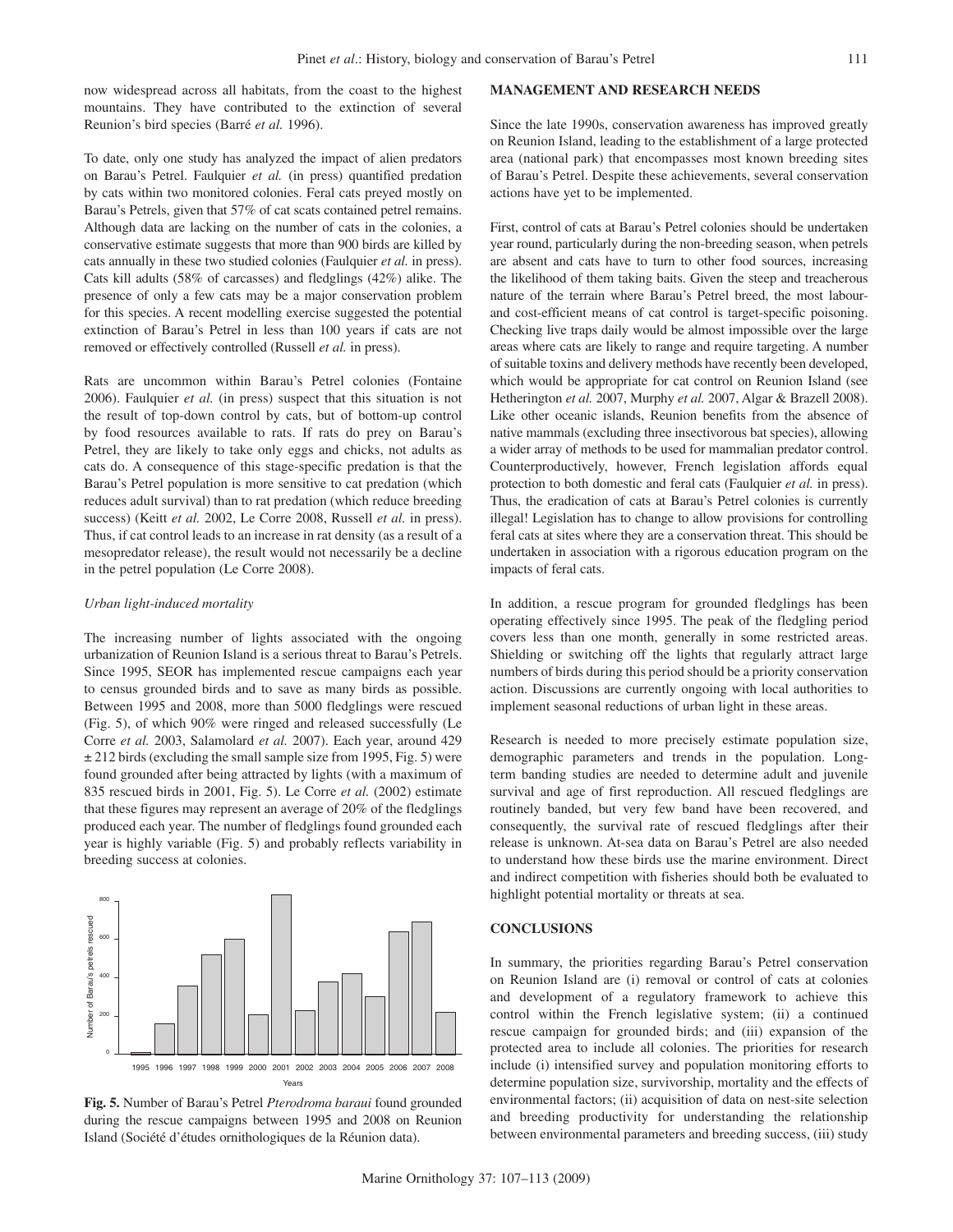now widespread across all habitats, from the coast to the highest mountains. They have contributed to the extinction of several Reunion's bird species (Barré *et al.* 1996).

To date, only one study has analyzed the impact of alien predators on Barau's Petrel. Faulquier *et al.* (in press) quantified predation by cats within two monitored colonies. Feral cats preyed mostly on Barau's Petrels, given that 57% of cat scats contained petrel remains. Although data are lacking on the number of cats in the colonies, a conservative estimate suggests that more than 900 birds are killed by cats annually in these two studied colonies (Faulquier *et al.* in press). Cats kill adults (58% of carcasses) and fledglings (42%) alike. The presence of only a few cats may be a major conservation problem for this species. A recent modelling exercise suggested the potential extinction of Barau's Petrel in less than 100 years if cats are not removed or effectively controlled (Russell *et al.* in press).

Rats are uncommon within Barau's Petrel colonies (Fontaine 2006). Faulquier *et al.* (in press) suspect that this situation is not the result of top-down control by cats, but of bottom-up control by food resources available to rats. If rats do prey on Barau's Petrel, they are likely to take only eggs and chicks, not adults as cats do. A consequence of this stage-specific predation is that the Barau's Petrel population is more sensitive to cat predation (which reduces adult survival) than to rat predation (which reduce breeding success) (Keitt *et al.* 2002, Le Corre 2008, Russell *et al.* in press). Thus, if cat control leads to an increase in rat density (as a result of a mesopredator release), the result would not necessarily be a decline in the petrel population (Le Corre 2008).

#### *Urban light-induced mortality*

The increasing number of lights associated with the ongoing urbanization of Reunion Island is a serious threat to Barau's Petrels. Since 1995, SEOR has implemented rescue campaigns each year to census grounded birds and to save as many birds as possible. Between 1995 and 2008, more than 5000 fledglings were rescued (Fig. 5), of which 90% were ringed and released successfully (Le Corre *et al.* 2003, Salamolard *et al.* 2007). Each year, around 429  $\pm$  212 birds (excluding the small sample size from 1995, Fig. 5) were found grounded after being attracted by lights (with a maximum of 835 rescued birds in 2001, Fig. 5). Le Corre *et al.* (2002) estimate that these figures may represent an average of 20% of the fledglings produced each year. The number of fledglings found grounded each year is highly variable (Fig. 5) and probably reflects variability in breeding success at colonies.





#### **MANAGEMENT AND RESEARCH NEEDS**

Since the late 1990s, conservation awareness has improved greatly on Reunion Island, leading to the establishment of a large protected area (national park) that encompasses most known breeding sites of Barau's Petrel. Despite these achievements, several conservation actions have yet to be implemented.

First, control of cats at Barau's Petrel colonies should be undertaken year round, particularly during the non-breeding season, when petrels are absent and cats have to turn to other food sources, increasing the likelihood of them taking baits. Given the steep and treacherous nature of the terrain where Barau's Petrel breed, the most labourand cost-efficient means of cat control is target-specific poisoning. Checking live traps daily would be almost impossible over the large areas where cats are likely to range and require targeting. A number of suitable toxins and delivery methods have recently been developed, which would be appropriate for cat control on Reunion Island (see Hetherington *et al.* 2007, Murphy *et al.* 2007, Algar & Brazell 2008). Like other oceanic islands, Reunion benefits from the absence of native mammals (excluding three insectivorous bat species), allowing a wider array of methods to be used for mammalian predator control. Counterproductively, however, French legislation affords equal protection to both domestic and feral cats (Faulquier *et al.* in press). Thus, the eradication of cats at Barau's Petrel colonies is currently illegal! Legislation has to change to allow provisions for controlling feral cats at sites where they are a conservation threat. This should be undertaken in association with a rigorous education program on the impacts of feral cats.

In addition, a rescue program for grounded fledglings has been operating effectively since 1995. The peak of the fledgling period covers less than one month, generally in some restricted areas. Shielding or switching off the lights that regularly attract large numbers of birds during this period should be a priority conservation action. Discussions are currently ongoing with local authorities to implement seasonal reductions of urban light in these areas.

Research is needed to more precisely estimate population size, demographic parameters and trends in the population. Longterm banding studies are needed to determine adult and juvenile survival and age of first reproduction. All rescued fledglings are routinely banded, but very few band have been recovered, and consequently, the survival rate of rescued fledglings after their release is unknown. At-sea data on Barau's Petrel are also needed to understand how these birds use the marine environment. Direct and indirect competition with fisheries should both be evaluated to highlight potential mortality or threats at sea.

# **CONCLUSIONS**

In summary, the priorities regarding Barau's Petrel conservation on Reunion Island are (i) removal or control of cats at colonies and development of a regulatory framework to achieve this control within the French legislative system; (ii) a continued rescue campaign for grounded birds; and (iii) expansion of the protected area to include all colonies. The priorities for research include (i) intensified survey and population monitoring efforts to determine population size, survivorship, mortality and the effects of environmental factors; (ii) acquisition of data on nest-site selection and breeding productivity for understanding the relationship between environmental parameters and breeding success, (iii) study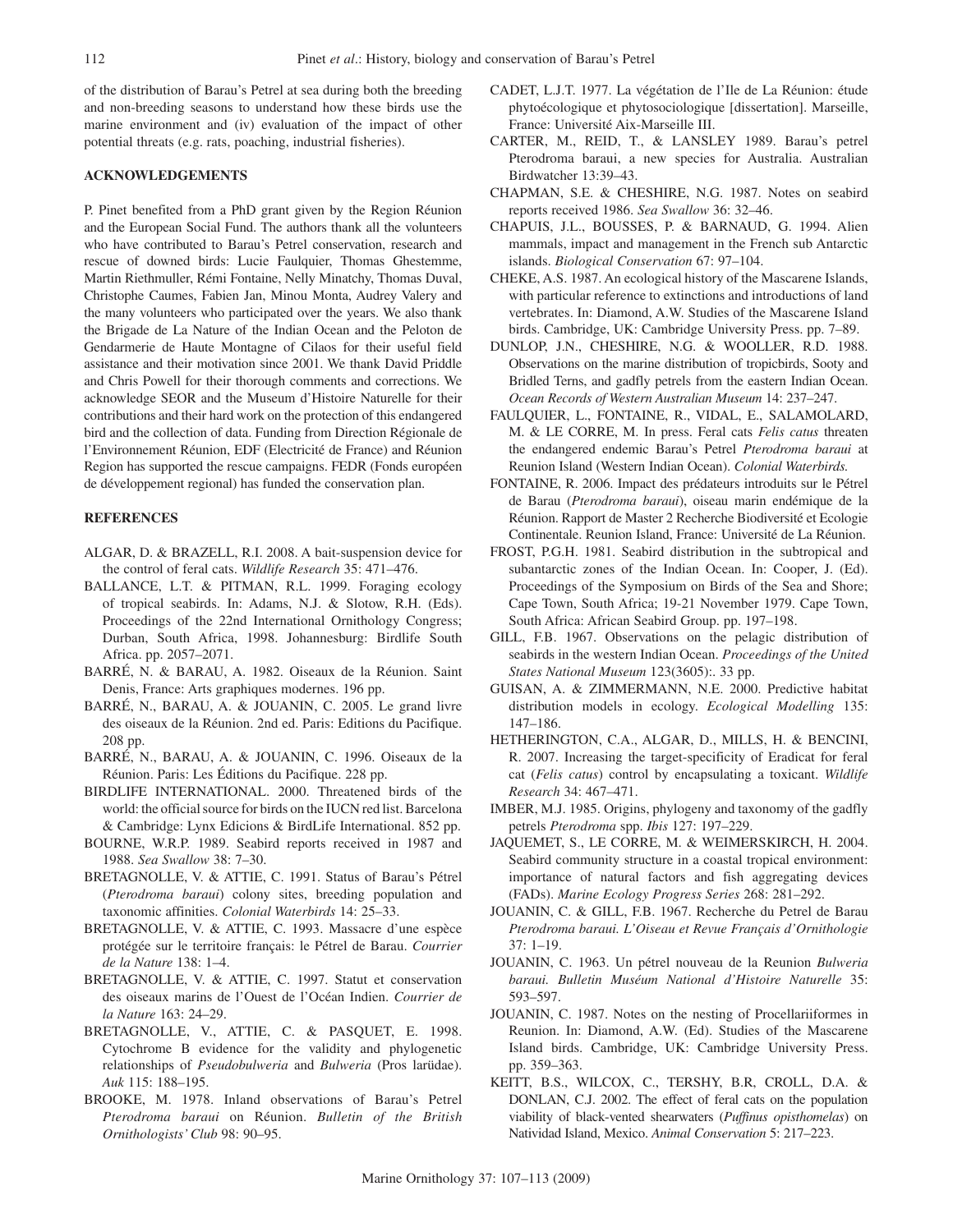of the distribution of Barau's Petrel at sea during both the breeding and non-breeding seasons to understand how these birds use the marine environment and (iv) evaluation of the impact of other potential threats (e.g. rats, poaching, industrial fisheries).

## **Acknowledgements**

P. Pinet benefited from a PhD grant given by the Region Réunion and the European Social Fund. The authors thank all the volunteers who have contributed to Barau's Petrel conservation, research and rescue of downed birds: Lucie Faulquier, Thomas Ghestemme, Martin Riethmuller, Rémi Fontaine, Nelly Minatchy, Thomas Duval, Christophe Caumes, Fabien Jan, Minou Monta, Audrey Valery and the many volunteers who participated over the years. We also thank the Brigade de La Nature of the Indian Ocean and the Peloton de Gendarmerie de Haute Montagne of Cilaos for their useful field assistance and their motivation since 2001. We thank David Priddle and Chris Powell for their thorough comments and corrections. We acknowledge SEOR and the Museum d'Histoire Naturelle for their contributions and their hard work on the protection of this endangered bird and the collection of data. Funding from Direction Régionale de l'Environnement Réunion, EDF (Electricité de France) and Réunion Region has supported the rescue campaigns. FEDR (Fonds européen de développement regional) has funded the conservation plan.

## **REFERENCES**

- ALGAR, D. & BRAZELL, R.I. 2008. A bait-suspension device for the control of feral cats. *Wildlife Research* 35: 471–476.
- BALLANCE, L.T. & PITMAN, R.L. 1999. Foraging ecology of tropical seabirds. In: Adams, N.J. & Slotow, R.H. (Eds). Proceedings of the 22nd International Ornithology Congress; Durban, South Africa, 1998. Johannesburg: Birdlife South Africa. pp. 2057–2071.
- BARRÉ, N. & BARAU, A. 1982. Oiseaux de la Réunion. Saint Denis, France: Arts graphiques modernes. 196 pp.
- BARRÉ, N., BARAU, A. & JOUANIN, C. 2005. Le grand livre des oiseaux de la Réunion. 2nd ed. Paris: Editions du Pacifique. 208 pp.
- BARRÉ, N., BARAU, A. & JOUANIN, C. 1996. Oiseaux de la Réunion. Paris: Les Éditions du Pacifique. 228 pp.
- BIRDLIFE INTERNATIONAL. 2000. Threatened birds of the world: the official source for birds on the IUCN red list. Barcelona & Cambridge: Lynx Edicions & BirdLife International. 852 pp.
- BOURNE, W.R.P. 1989. Seabird reports received in 1987 and 1988. *Sea Swallow* 38: 7–30.
- BRETAGNOLLE, V. & ATTIE, C. 1991. Status of Barau's Pétrel (*Pterodroma baraui*) colony sites, breeding population and taxonomic affinities. *Colonial Waterbirds* 14: 25–33.
- BRETAGNOLLE, V. & ATTIE, C. 1993. Massacre d'une espèce protégée sur le territoire français: le Pétrel de Barau. *Courrier de la Nature* 138: 1–4.
- BRETAGNOLLE, V. & ATTIE, C. 1997. Statut et conservation des oiseaux marins de l'Ouest de l'Océan Indien. *Courrier de la Nature* 163: 24–29.
- BRETAGNOLLE, V., ATTIE, C. & PASQUET, E. 1998. Cytochrome B evidence for the validity and phylogenetic relationships of *Pseudobulweria* and *Bulweria* (Pros larüdae). *Auk* 115: 188–195.
- BROOKE, M. 1978. Inland observations of Barau's Petrel *Pterodroma baraui* on Réunion. *Bulletin of the British Ornithologists' Club* 98: 90–95.
- CADET, L.J.T. 1977. La végétation de l'Ile de La Réunion: étude phytoécologique et phytosociologique [dissertation]. Marseille, France: Université Aix-Marseille III.
- CARTER, M., REID, T., & LANSLEY 1989. Barau's petrel Pterodroma baraui, a new species for Australia. Australian Birdwatcher 13:39–43.
- CHAPMAN, S.E. & CHESHIRE, N.G. 1987. Notes on seabird reports received 1986. *Sea Swallow* 36: 32–46.
- CHAPUIS, J.L., BOUSSES, P. & BARNAUD, G. 1994. Alien mammals, impact and management in the French sub Antarctic islands. *Biological Conservation* 67: 97–104.
- CHEKE, A.S. 1987. An ecological history of the Mascarene Islands, with particular reference to extinctions and introductions of land vertebrates. In: Diamond, A.W. Studies of the Mascarene Island birds. Cambridge, UK: Cambridge University Press. pp. 7–89.
- DUNLOP, J.N., CHESHIRE, N.G. & WOOLLER, R.D. 1988. Observations on the marine distribution of tropicbirds, Sooty and Bridled Terns, and gadfly petrels from the eastern Indian Ocean. *Ocean Records of Western Australian Museum* 14: 237–247.
- FAULQUIER, L., FONTAINE, R., VIDAL, E., SALAMOLARD, M. & LE CORRE, M. In press. Feral cats *Felis catus* threaten the endangered endemic Barau's Petrel *Pterodroma baraui* at Reunion Island (Western Indian Ocean). *Colonial Waterbirds.*
- FONTAINE, R. 2006. Impact des prédateurs introduits sur le Pétrel de Barau (*Pterodroma baraui*), oiseau marin endémique de la Réunion. Rapport de Master 2 Recherche Biodiversité et Ecologie Continentale. Reunion Island, France: Université de La Réunion.
- FROST, P.G.H. 1981. Seabird distribution in the subtropical and subantarctic zones of the Indian Ocean. In: Cooper, J. (Ed). Proceedings of the Symposium on Birds of the Sea and Shore; Cape Town, South Africa; 19-21 November 1979. Cape Town, South Africa: African Seabird Group. pp. 197–198.
- GILL, F.B. 1967. Observations on the pelagic distribution of seabirds in the western Indian Ocean. *Proceedings of the United States National Museum* 123(3605):. 33 pp.
- GUISAN, A. & ZIMMERMANN, N.E. 2000. Predictive habitat distribution models in ecology. *Ecological Modelling* 135: 147–186.
- HETHERINGTON, C.A., ALGAR, D., MILLS, H. & BENCINI, R. 2007. Increasing the target-specificity of Eradicat for feral cat (*Felis catus*) control by encapsulating a toxicant. *Wildlife Research* 34: 467–471.
- IMBER, M.J. 1985. Origins, phylogeny and taxonomy of the gadfly petrels *Pterodroma* spp. *Ibis* 127: 197–229.
- JAQUEMET, S., LE CORRE, M. & WEIMERSKIRCH, H. 2004. Seabird community structure in a coastal tropical environment: importance of natural factors and fish aggregating devices (FADs). *Marine Ecology Progress Series* 268: 281–292.
- JOUANIN, C. & GILL, F.B. 1967. Recherche du Petrel de Barau *Pterodroma baraui. L'Oiseau et Revue Français d'Ornithologie* 37: 1–19.
- JOUANIN, C. 1963. Un pétrel nouveau de la Reunion *Bulweria baraui. Bulletin Muséum National d'Histoire Naturelle* 35: 593–597.
- JOUANIN, C. 1987. Notes on the nesting of Procellariiformes in Reunion. In: Diamond, A.W. (Ed). Studies of the Mascarene Island birds. Cambridge, UK: Cambridge University Press. pp. 359–363.
- KEITT, B.S., WILCOX, C., TERSHY, B.R, CROLL, D.A. & DONLAN, C.J. 2002. The effect of feral cats on the population viability of black-vented shearwaters (*Puffinus opisthomelas*) on Natividad Island, Mexico. *Animal Conservation* 5: 217–223.